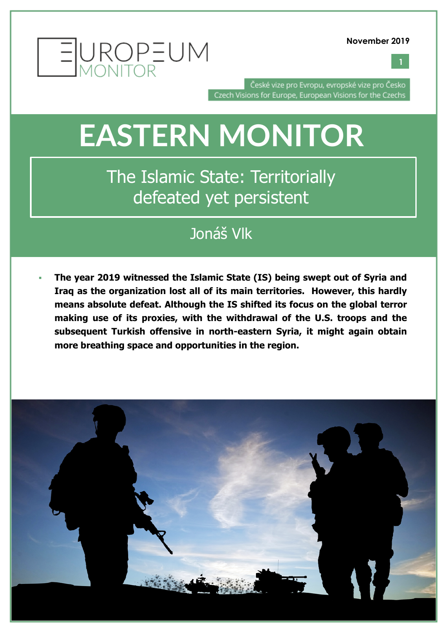



České vize pro Evropu, evropské vize pro Česko Czech Visions for Europe, European Visions for the Czechs

## **EASTERN MONITOR**

The Islamic State: Territorially defeated yet persistent

### Jonáš Vlk

§ **The year 2019 witnessed the Islamic State (IS) being swept out of Syria and Iraq as the organization lost all of its main territories. However, this hardly means absolute defeat. Although the IS shifted its focus on the global terror making use of its proxies, with the withdrawal of the U.S. troops and the subsequent Turkish offensive in north-eastern Syria, it might again obtain more breathing space and opportunities in the region.**

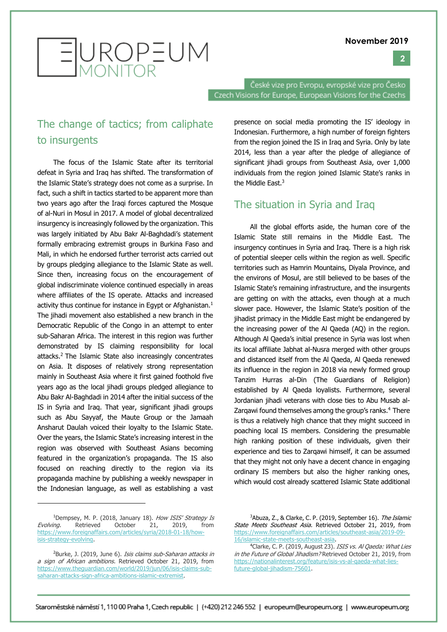

EUROPEUM

České vize pro Evropu, evropské vize pro Česko Czech Visions for Europe, European Visions for the Czechs

#### The change of tactics; from caliphate to insurgents

The focus of the Islamic State after its territorial defeat in Syria and Iraq has shifted. The transformation of the Islamic State's strategy does not come as a surprise. In fact, such a shift in tactics started to be apparent more than two years ago after the Iraqi forces captured the Mosque of al-Nuri in Mosul in 2017. A model of global decentralized insurgency is increasingly followed by the organization. This was largely initiated by Abu Bakr Al-Baghdadi's statement formally embracing extremist groups in Burkina Faso and Mali, in which he endorsed further terrorist acts carried out by groups pledging allegiance to the Islamic State as well. Since then, increasing focus on the encouragement of global indiscriminate violence continued especially in areas where affiliates of the IS operate. Attacks and increased activity thus continue for instance in Egypt or Afghanistan.<sup>1</sup> The jihadi movement also established a new branch in the Democratic Republic of the Congo in an attempt to enter sub-Saharan Africa. The interest in this region was further demonstrated by IS claiming responsibility for local attacks.2 The Islamic State also increasingly concentrates on Asia. It disposes of relatively strong representation mainly in Southeast Asia where it first gained foothold five years ago as the local jihadi groups pledged allegiance to Abu Bakr Al-Baghdadi in 2014 after the initial success of the IS in Syria and Iraq. That year, significant jihadi groups such as Abu Sayyaf, the Maute Group or the Jamaah Ansharut Daulah voiced their loyalty to the Islamic State. Over the years, the Islamic State's increasing interest in the region was observed with Southeast Asians becoming featured in the organization's propaganda. The IS also focused on reaching directly to the region via its propaganda machine by publishing a weekly newspaper in the Indonesian language, as well as establishing a vast

presence on social media promoting the IS' ideology in Indonesian. Furthermore, a high number of foreign fighters from the region joined the IS in Iraq and Syria. Only by late 2014, less than a year after the pledge of allegiance of significant jihadi groups from Southeast Asia, over 1,000 individuals from the region joined Islamic State's ranks in the Middle East.3

#### The situation in Syria and Iraq

All the global efforts aside, the human core of the Islamic State still remains in the Middle East. The insurgency continues in Syria and Iraq. There is a high risk of potential sleeper cells within the region as well. Specific territories such as Hamrin Mountains, Diyala Province, and the environs of Mosul, are still believed to be bases of the Islamic State's remaining infrastructure, and the insurgents are getting on with the attacks, even though at a much slower pace. However, the Islamic State's position of the jihadist primacy in the Middle East might be endangered by the increasing power of the Al Qaeda (AQ) in the region. Although Al Qaeda's initial presence in Syria was lost when its local affiliate Jabhat al-Nusra merged with other groups and distanced itself from the Al Qaeda, Al Qaeda renewed its influence in the region in 2018 via newly formed group Tanzim Hurras al-Din (The Guardians of Religion) established by Al Qaeda loyalists. Furthermore, several Jordanian jihadi veterans with close ties to Abu Musab al-Zargawi found themselves among the group's ranks.<sup>4</sup> There is thus a relatively high chance that they might succeed in poaching local IS members. Considering the presumable high ranking position of these individuals, given their experience and ties to Zargawi himself, it can be assumed that they might not only have a decent chance in engaging ordinary IS members but also the higher ranking ones, which would cost already scattered Islamic State additional

<sup>&</sup>lt;sup>1</sup>Dempsey, M. P. (2018, January 18). How ISIS' Strategy Is Evolving. Retrieved October 21, 2019, from https://www.foreignaffairs.com/articles/syria/2018-01-18/howisis-strategy-evolving.

<sup>&</sup>lt;sup>2</sup>Burke, J. (2019, June 6). *Isis claims sub-Saharan attacks in* a sign of African ambitions. Retrieved October 21, 2019, from https://www.theguardian.com/world/2019/jun/06/isis-claims-subsaharan-attacks-sign-africa-ambitions-islamic-extremist.

<sup>&</sup>lt;sup>3</sup>Abuza, Z., & Clarke, C. P. (2019, September 16). *The Islamic* State Meets Southeast Asia. Retrieved October 21, 2019, from https://www.foreignaffairs.com/articles/southeast-asia/2019-09- 16/islamic-state-meets-southeast-asia.

<sup>&</sup>lt;sup>4</sup>Clarke, C. P. (2019, August 23). ISIS vs. Al Qaeda: What Lies in the Future of Global Jihadism? Retrieved October 21, 2019, from https://nationalinterest.org/feature/isis-vs-al-qaeda-what-liesfuture-global-jihadism-75601.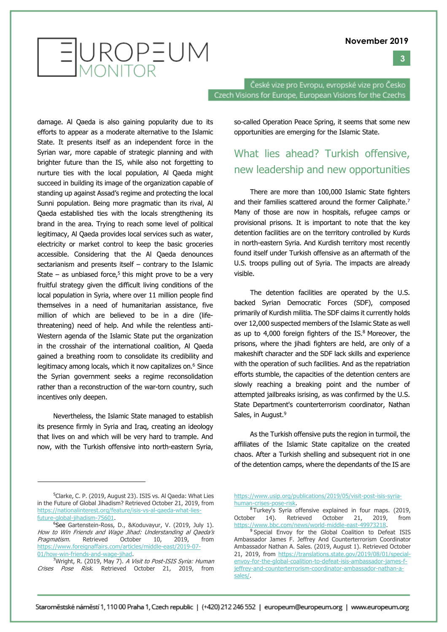**3**



České vize pro Evropu, evropské vize pro Česko Czech Visions for Europe, European Visions for the Czechs

damage. Al Qaeda is also gaining popularity due to its efforts to appear as a moderate alternative to the Islamic State. It presents itself as an independent force in the Syrian war, more capable of strategic planning and with brighter future than the IS, while also not forgetting to nurture ties with the local population, Al Qaeda might succeed in building its image of the organization capable of standing up against Assad's regime and protecting the local Sunni population. Being more pragmatic than its rival, Al Qaeda established ties with the locals strengthening its brand in the area. Trying to reach some level of political legitimacy, Al Qaeda provides local services such as water, electricity or market control to keep the basic groceries accessible. Considering that the Al Qaeda denounces sectarianism and presents itself – contrary to the Islamic State  $-$  as unbiased force,<sup>5</sup> this might prove to be a very fruitful strategy given the difficult living conditions of the local population in Syria, where over 11 million people find themselves in a need of humanitarian assistance, five million of which are believed to be in a dire (lifethreatening) need of help. And while the relentless anti-Western agenda of the Islamic State put the organization in the crosshair of the international coalition, Al Qaeda gained a breathing room to consolidate its credibility and legitimacy among locals, which it now capitalizes on.<sup>6</sup> Since the Syrian government seeks a regime reconsolidation rather than a reconstruction of the war-torn country, such incentives only deepen.

Nevertheless, the Islamic State managed to establish its presence firmly in Syria and Iraq, creating an ideology that lives on and which will be very hard to trample. And now, with the Turkish offensive into north-eastern Syria, so-called Operation Peace Spring, it seems that some new opportunities are emerging for the Islamic State.

#### What lies ahead? Turkish offensive, new leadership and new opportunities

There are more than 100,000 Islamic State fighters and their families scattered around the former Caliphate.<sup>7</sup> Many of those are now in hospitals, refugee camps or provisional prisons. It is important to note that the key detention facilities are on the territory controlled by Kurds in north-eastern Syria. And Kurdish territory most recently found itself under Turkish offensive as an aftermath of the U.S. troops pulling out of Syria. The impacts are already visible.

The detention facilities are operated by the U.S. backed Syrian Democratic Forces (SDF), composed primarily of Kurdish militia. The SDF claims it currently holds over 12,000 suspected members of the Islamic State as well as up to 4,000 foreign fighters of the IS.<sup>8</sup> Moreover, the prisons, where the jihadi fighters are held, are only of a makeshift character and the SDF lack skills and experience with the operation of such facilities. And as the repatriation efforts stumble, the capacities of the detention centers are slowly reaching a breaking point and the number of attempted jailbreaks isrising, as was confirmed by the U.S. State Department's counterterrorism coordinator, Nathan Sales, in August.<sup>9</sup>

As the Turkish offensive puts the region in turmoil, the affiliates of the Islamic State capitalize on the created chaos. After a Turkish shelling and subsequent riot in one of the detention camps, where the dependants of the IS are

<sup>5</sup> Clarke, C. P. (2019, August 23). ISIS vs. Al Qaeda: What Lies in the Future of Global Jihadism? Retrieved October 21, 2019, from https://nationalinterest.org/feature/isis-vs-al-qaeda-what-liesfuture-global-jihadism-75601.

<sup>6</sup> See Gartenstein-Ross, D., &Koduvayur, V. (2019, July 1). How to Win Friends and Wage Jihad: Understanding al Qaeda's Pragmatism. Retrieved October 10, 2019, from https://www.foreignaffairs.com/articles/middle-east/2019-07- 01/how-win-friends-and-wage-jihad.

<sup>&</sup>lt;sup>7</sup>Wright, R. (2019, May 7). A Visit to Post-ISIS Syria: Human Crises Pose Risk. Retrieved October 21, 2019, from

https://www.usip.org/publications/2019/05/visit-post-isis-syriahuman-crises-pose-risk.

<sup>&</sup>lt;sup>8</sup>Turkey's Syria offensive explained in four maps. (2019, October 14). Retrieved October 21, 2019, from https://www.bbc.com/news/world-middle-east-49973218.

<sup>&</sup>lt;sup>9</sup> Special Envoy for the Global Coalition to Defeat ISIS Ambassador James F. Jeffrey And Counterterrorism Coordinator Ambassador Nathan A. Sales. (2019, August 1). Retrieved October 21, 2019, from https://translations.state.gov/2019/08/01/specialenvoy-for-the-global-coalition-to-defeat-isis-ambassador-james-fjeffrey-and-counterterrorism-coordinator-ambassador-nathan-asales/.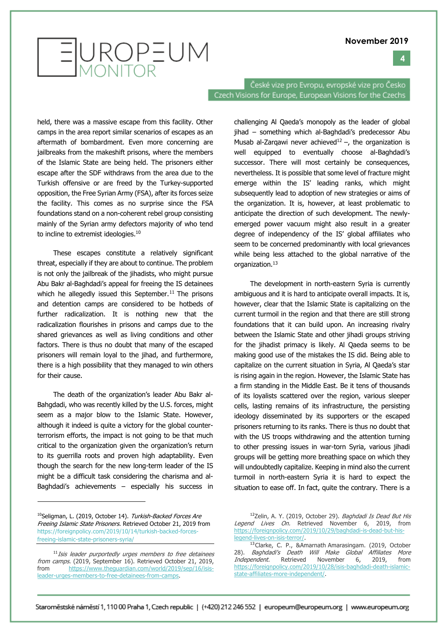#### **4**

# EUROPEUM

České vize pro Evropu, evropské vize pro Česko Czech Visions for Europe, European Visions for the Czechs

held, there was a massive escape from this facility. Other camps in the area report similar scenarios of escapes as an aftermath of bombardment. Even more concerning are jailbreaks from the makeshift prisons, where the members of the Islamic State are being held. The prisoners either escape after the SDF withdraws from the area due to the Turkish offensive or are freed by the Turkey-supported opposition, the Free Syrian Army (FSA), after its forces seize the facility. This comes as no surprise since the FSA foundations stand on a non-coherent rebel group consisting mainly of the Syrian army defectors majority of who tend to incline to extremist ideologies.<sup>10</sup>

These escapes constitute a relatively significant threat, especially if they are about to continue. The problem is not only the jailbreak of the jihadists, who might pursue Abu Bakr al-Baghdadi's appeal for freeing the IS detainees which he allegedly issued this September.<sup>11</sup> The prisons and detention camps are considered to be hotbeds of further radicalization. It is nothing new that the radicalization flourishes in prisons and camps due to the shared grievances as well as living conditions and other factors. There is thus no doubt that many of the escaped prisoners will remain loyal to the jihad, and furthermore, there is a high possibility that they managed to win others for their cause.

The death of the organization's leader Abu Bakr al-Bahgdadi, who was recently killed by the U.S. forces, might seem as a major blow to the Islamic State. However, although it indeed is quite a victory for the global counterterrorism efforts, the impact is not going to be that much critical to the organization given the organization's return to its guerrilla roots and proven high adaptability. Even though the search for the new long-term leader of the IS might be a difficult task considering the charisma and al-Baghdadi's achievements – especially his success in

challenging Al Qaeda's monopoly as the leader of global jihad – something which al-Baghdadi's predecessor Abu Musab al-Zarqawi never achieved<sup>12</sup> –, the organization is well equipped to eventually choose al-Baghdadi's successor. There will most certainly be consequences, nevertheless. It is possible that some level of fracture might emerge within the IS' leading ranks, which might subsequently lead to adoption of new strategies or aims of the organization. It is, however, at least problematic to anticipate the direction of such development. The newlyemerged power vacuum might also result in a greater degree of independency of the IS' global affiliates who seem to be concerned predominantly with local grievances while being less attached to the global narrative of the organization.13

The development in north-eastern Syria is currently ambiguous and it is hard to anticipate overall impacts. It is, however, clear that the Islamic State is capitalizing on the current turmoil in the region and that there are still strong foundations that it can build upon. An increasing rivalry between the Islamic State and other jihadi groups striving for the jihadist primacy is likely. Al Qaeda seems to be making good use of the mistakes the IS did. Being able to capitalize on the current situation in Syria, Al Qaeda's star is rising again in the region. However, the Islamic State has a firm standing in the Middle East. Be it tens of thousands of its loyalists scattered over the region, various sleeper cells, lasting remains of its infrastructure, the persisting ideology disseminated by its supporters or the escaped prisoners returning to its ranks. There is thus no doubt that with the US troops withdrawing and the attention turning to other pressing issues in war-torn Syria, various jihadi groups will be getting more breathing space on which they will undoubtedly capitalize. Keeping in mind also the current turmoil in north-eastern Syria it is hard to expect the situation to ease off. In fact, quite the contrary. There is a

<sup>&</sup>lt;sup>10</sup>Seligman, L. (2019, October 14). Turkish-Backed Forces Are Freeing Islamic State Prisoners. Retrieved October 21, 2019 from https://foreignpolicy.com/2019/10/14/turkish-backed-forcesfreeing-islamic-state-prisoners-syria/

<sup>&</sup>lt;sup>11</sup> Isis leader purportedly urges members to free detainees from camps. (2019, September 16). Retrieved October 21, 2019, from https://www.theguardian.com/world/2019/sep/16/isisleader-urges-members-to-free-detainees-from-camps.

<sup>&</sup>lt;sup>12</sup>Zelin, A. Y. (2019, October 29). Baghdadi Is Dead But His Legend Lives On. Retrieved November 6, 2019, from https://foreignpolicy.com/2019/10/29/baghdadi-is-dead-but-hislegend-lives-on-isis-terror/.

<sup>13</sup> Clarke, C. P., &Amarnath Amarasingam. (2019, October 28). Baghdadi's Death Will Make Global Affiliates More Independent. Retrieved November 6, 2019, from https://foreignpolicy.com/2019/10/28/isis-baghdadi-death-islamicstate-affiliates-more-independent/.